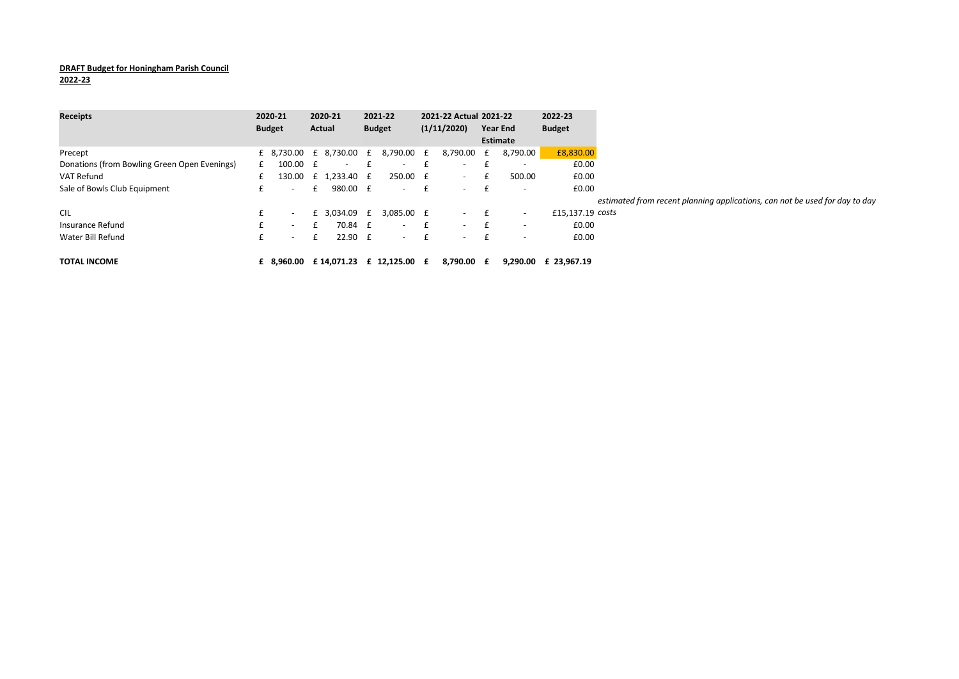## DRAFT Budget for Honingham Parish Council

2022-23

| <b>Receipts</b>                              |   | 2020-21                  |   | 2020-21      | 2021-22                              |   | 2021-22 Actual 2021-22 |              |                          | 2022-23              |                                                                             |
|----------------------------------------------|---|--------------------------|---|--------------|--------------------------------------|---|------------------------|--------------|--------------------------|----------------------|-----------------------------------------------------------------------------|
|                                              |   | <b>Budget</b>            |   | Actual       | <b>Budget</b>                        |   | (1/11/2020)            |              | <b>Year End</b>          | <b>Budget</b>        |                                                                             |
|                                              |   |                          |   |              |                                      |   |                        |              | Estimate                 |                      |                                                                             |
| Precept                                      |   | £ 8,730.00 £ 8,730.00 £  |   |              | 8,790.00 £                           |   | 8,790.00 £             |              | 8,790.00                 | £8,830.00            |                                                                             |
| Donations (from Bowling Green Open Evenings) | £ | $100.00 \quad \text{f}$  |   | $\sim$       | $\sim$                               | f | $\sim$                 | $\mathbf{f}$ | $\overline{\phantom{a}}$ | £0.00                |                                                                             |
| VAT Refund                                   |   | 130.00                   |   | £ 1.233.40 £ | 250.00 £                             |   | $\sim$ $-$             |              | 500.00                   | £0.00                |                                                                             |
| Sale of Bowls Club Equipment                 | £ | $-$                      |   | 980.00 £     | $\sim$                               | £ | $\sim$                 |              | $\overline{\phantom{a}}$ | £0.00                |                                                                             |
|                                              |   |                          |   |              |                                      |   |                        |              |                          |                      | estimated from recent planning applications, can not be used for day to day |
| <b>CIL</b>                                   | £ | $\overline{\phantom{a}}$ |   | £ 3,034.09 £ | 3,085.00 £                           |   | $ E$                   |              | $\overline{\phantom{a}}$ | £15,137.19 costs     |                                                                             |
| Insurance Refund                             | £ | $\sim$                   |   | 70.84 £      | $\sim$                               | £ | $\sim$                 |              | $\overline{\phantom{a}}$ | £0.00                |                                                                             |
| Water Bill Refund                            | £ | $\sim$                   | £ | $22.90 \t f$ | $\sim$                               | £ | $\sim$ $-$             | E            | $\overline{\phantom{0}}$ | £0.00                |                                                                             |
| <b>TOTAL INCOME</b>                          |   |                          |   |              | £ 8,960.00 £ 14,071.23 £ 12,125.00 £ |   | 8.790.00 £             |              |                          | 9.290.00 £ 23.967.19 |                                                                             |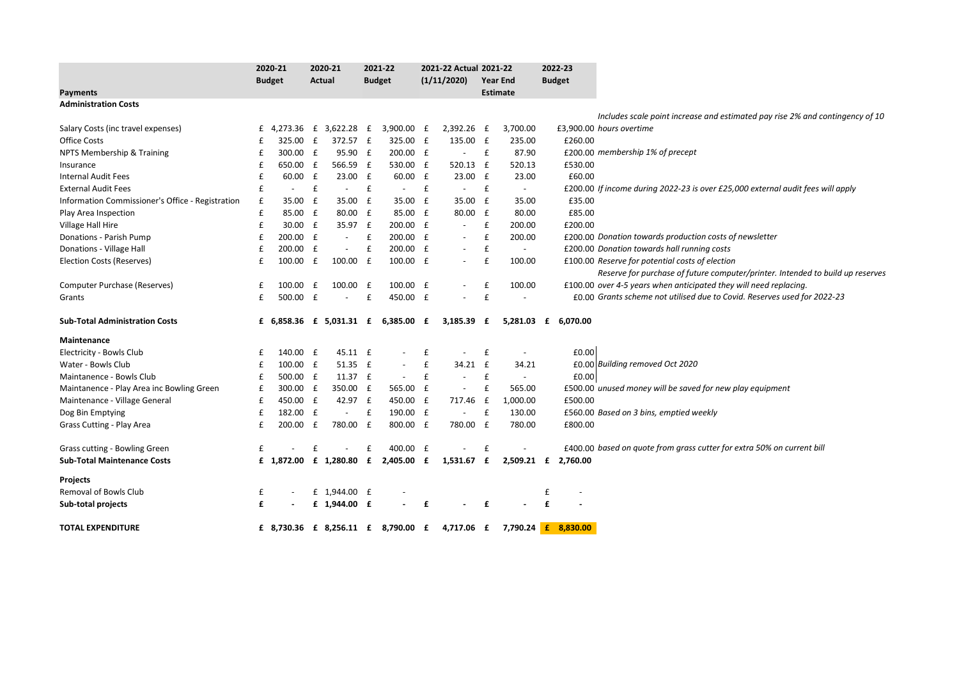|                                                  |   | 2020-21       |              | 2020-21                            |             | 2021-22                  |              | 2021-22 Actual 2021-22   |                    |                          | 2022-23             |                                                                                 |
|--------------------------------------------------|---|---------------|--------------|------------------------------------|-------------|--------------------------|--------------|--------------------------|--------------------|--------------------------|---------------------|---------------------------------------------------------------------------------|
|                                                  |   | <b>Budget</b> |              | Actual                             |             | <b>Budget</b>            |              | (1/11/2020)              |                    | <b>Year End</b>          | <b>Budget</b>       |                                                                                 |
| <b>Payments</b>                                  |   |               |              |                                    |             |                          |              |                          |                    | <b>Estimate</b>          |                     |                                                                                 |
| <b>Administration Costs</b>                      |   |               |              |                                    |             |                          |              |                          |                    |                          |                     |                                                                                 |
|                                                  |   |               |              |                                    |             |                          |              |                          |                    |                          |                     | Includes scale point increase and estimated pay rise 2% and contingency of 10   |
| Salary Costs (inc travel expenses)               | £ |               |              | 4,273.36 £ 3,622.28 £              |             | 3,900.00 £               |              | 2,392.26                 | £                  | 3,700.00                 |                     | £3,900.00 hours overtime                                                        |
| <b>Office Costs</b>                              | f | 325.00        | $\mathbf{f}$ | 372.57 £                           |             | 325.00 £                 |              | 135.00 £                 |                    | 235.00                   | £260.00             |                                                                                 |
| NPTS Membership & Training                       | £ | 300.00        | £            | 95.90 £                            |             | 200.00 £                 |              | $\overline{\phantom{a}}$ | $\mathbf{f}$       | 87.90                    |                     | £200.00 membership 1% of precept                                                |
| Insurance                                        | £ | 650.00 £      |              | 566.59 £                           |             | 530.00 £                 |              | 520.13                   | f                  | 520.13                   | £530.00             |                                                                                 |
| <b>Internal Audit Fees</b>                       | £ | 60.00         | £            | 23.00 £                            |             | 60.00 £                  |              | 23.00                    | £                  | 23.00                    | £60.00              |                                                                                 |
| <b>External Audit Fees</b>                       | £ | $\sim$        | £            | $\sim$                             | $\mathbf f$ | $\sim$                   | £            | $\sim$                   | $\pmb{\mathsf{f}}$ | $\sim$                   |                     | £200.00 If income during 2022-23 is over £25,000 external audit fees will apply |
| Information Commissioner's Office - Registration | £ | 35.00         | £            | 35.00 £                            |             | 35.00                    | £            | 35.00                    | £                  | 35.00                    | £35.00              |                                                                                 |
| Play Area Inspection                             | £ | 85.00 £       |              | 80.00 £                            |             | 85.00 £                  |              | 80.00                    | £                  | 80.00                    | £85.00              |                                                                                 |
| Village Hall Hire                                | £ | 30.00 £       |              | 35.97 £                            |             | 200.00 £                 |              | $\overline{\phantom{a}}$ | £                  | 200.00                   | £200.00             |                                                                                 |
| Donations - Parish Pump                          | £ | 200.00 £      |              | $\overline{\phantom{a}}$           | £           | 200.00                   | £            | $\overline{\phantom{a}}$ | £                  | 200.00                   |                     | £200.00 Donation towards production costs of newsletter                         |
| Donations - Village Hall                         | £ | 200.00        | £            |                                    | £           | 200.00                   | $\mathbf{f}$ | $\overline{\phantom{a}}$ | £                  | $\overline{\phantom{a}}$ |                     | £200.00 Donation towards hall running costs                                     |
| <b>Election Costs (Reserves)</b>                 | £ | 100.00        | £            | 100.00 £                           |             | 100.00 £                 |              | $\overline{\phantom{a}}$ | £                  | 100.00                   |                     | £100.00 Reserve for potential costs of election                                 |
|                                                  |   |               |              |                                    |             |                          |              |                          |                    |                          |                     | Reserve for purchase of future computer/printer. Intended to build up reserves  |
| Computer Purchase (Reserves)                     | £ | 100.00        | £            | $100.00$ £                         |             | 100.00 £                 |              | $\overline{\phantom{0}}$ | £                  | 100.00                   |                     | £100.00 over 4-5 years when anticipated they will need replacing.               |
| Grants                                           | £ | 500.00 £      |              | $\sim$                             | £           | 450.00 £                 |              | $\overline{a}$           | $\pmb{\mathsf{f}}$ | $\overline{a}$           |                     | £0.00 Grants scheme not utilised due to Covid. Reserves used for 2022-23        |
| <b>Sub-Total Administration Costs</b>            |   |               |              | £ 6,858.36 £ 5,031.31 £ 6,385.00 £ |             |                          |              | 3,185.39                 | £                  |                          | 5,281.03 £ 6,070.00 |                                                                                 |
| <b>Maintenance</b>                               |   |               |              |                                    |             |                          |              |                          |                    |                          |                     |                                                                                 |
| Electricity - Bowls Club                         | £ | 140.00 £      |              | 45.11 £                            |             |                          | £            | $\overline{\phantom{a}}$ | $\mathbf{f}$       | $\overline{\phantom{a}}$ | £0.00               |                                                                                 |
| Water - Bowls Club                               | £ | 100.00 £      |              | 51.35 £                            |             | $\overline{\phantom{a}}$ | £            | 34.21                    | $\mathbf{f}$       | 34.21                    |                     | £0.00 Building removed Oct 2020                                                 |
| Maintanence - Bowls Club                         | £ | 500.00 £      |              | 11.37 £                            |             | $\blacksquare$           | £            | $\overline{\phantom{a}}$ | £                  | $\overline{\phantom{a}}$ | £0.00               |                                                                                 |
| Maintanence - Play Area inc Bowling Green        | £ | 300.00 £      |              | 350.00 £                           |             | 565.00 £                 |              | $\sim$                   | $\pmb{\mathsf{f}}$ | 565.00                   |                     | £500.00 unused money will be saved for new play equipment                       |
| Maintenance - Village General                    | £ | 450.00 £      |              | 42.97 £                            |             | 450.00 £                 |              | 717.46                   | £                  | 1,000.00                 | £500.00             |                                                                                 |
| Dog Bin Emptying                                 | £ | 182.00 £      |              | $\sim$                             | £           | 190.00 £                 |              | $\overline{\phantom{a}}$ | £                  | 130.00                   |                     | £560.00 Based on 3 bins, emptied weekly                                         |
| Grass Cutting - Play Area                        | £ | 200.00        | $\mathbf{f}$ | 780.00 £                           |             | 800.00 £                 |              | 780.00                   | £                  | 780.00                   | £800.00             |                                                                                 |
| Grass cutting - Bowling Green                    | £ |               | £            |                                    | £           | 400.00 £                 |              |                          | £                  |                          |                     | £400.00 based on quote from grass cutter for extra 50% on current bill          |
| <b>Sub-Total Maintenance Costs</b>               |   |               |              | £ 1,872.00 £ 1,280.80 £ 2,405.00 £ |             |                          |              | 1,531.67 £               |                    |                          | 2,509.21 £ 2,760.00 |                                                                                 |
| <b>Projects</b>                                  |   |               |              |                                    |             |                          |              |                          |                    |                          |                     |                                                                                 |
| Removal of Bowls Club                            | £ |               |              | £ 1,944.00 £                       |             |                          |              |                          |                    |                          | £                   |                                                                                 |
| Sub-total projects                               | £ |               |              | £ 1,944.00 £                       |             |                          | £            |                          | £                  |                          | £                   |                                                                                 |
| <b>TOTAL EXPENDITURE</b>                         |   |               |              | £ 8,730.36 £ 8,256.11 £ 8,790.00 £ |             |                          |              | 4,717.06 £               |                    |                          | 7,790.24 £ 8,830.00 |                                                                                 |